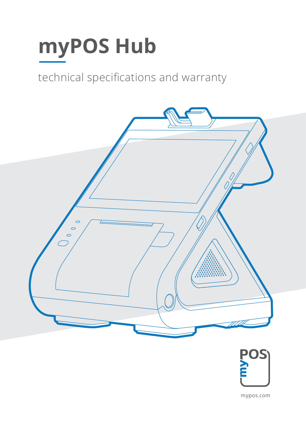# myPOS Hub

## techni technical specifications and warranty





myPoster Ltd. and the Ltd. and the Ltd. and the Ltd. and the Ltd. and the Ltd. and the Ltd. and the Ltd. and the Ltd. and the Ltd. and the Ltd. and the Ltd. and the Ltd. and the Ltd. and the Ltd. and the Ltd. and the Ltd. mypos.com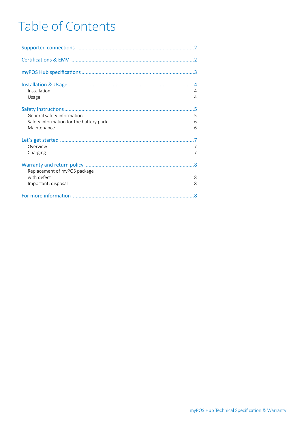## Table of Contents

| Installation<br>4<br>4<br>Usage                                                                     |
|-----------------------------------------------------------------------------------------------------|
| General safety information<br>5<br>Safety information for the battery pack<br>6<br>Maintenance<br>6 |
| Overview<br>Charging<br>7                                                                           |
| .8<br>Replacement of myPOS package<br>with defect<br>8<br>Important: disposal<br>8                  |
| .8                                                                                                  |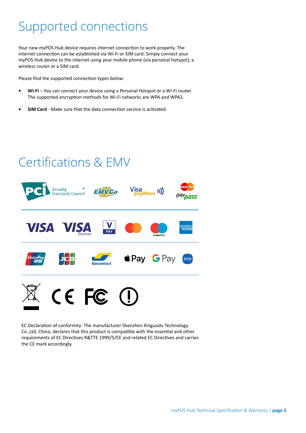## <span id="page-2-0"></span>Supported connections

Your new myPOS Hub device requires internet connection to work properly. The internet connection can be established via Wi-Fi or SIM card. Simply connect your myPOS Hub device to the internet using your mobile phone (via personal hotspot), a wireless router or a SIM card.

Please find the supported connection types below:

- **• Wi-Fi** You can connect your device using a Personal Hotspot or a Wi-Fi router. The supported encryption methods for Wi-Fi networks are WPA and WPA2.
- **• SIM Card** Make sure that the data connection service is activated.



EC Declaration of conformity: The manufacturer Shenzhen Xinguodu Technology Co.,Ltd, China, declares that this product is compatible with the essential and other requirements of EC Directives R&TTE 1999/5/CE and related EC Directives and carries the CE mark accordingly.

## Certifications & EMV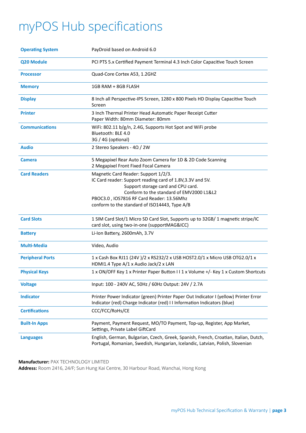## <span id="page-3-0"></span>myPOS Hub specifications

| <b>Operating System</b> | PayDroid based on Android 6.0                                                                                                                                                                                                                                                      |
|-------------------------|------------------------------------------------------------------------------------------------------------------------------------------------------------------------------------------------------------------------------------------------------------------------------------|
| <b>Q20 Module</b>       | PCI PTS 5.x Certified Payment Terminal 4.3 Inch Color Capacitive Touch Screen                                                                                                                                                                                                      |
| <b>Processor</b>        | Quad-Core Cortex A53, 1.2GHZ                                                                                                                                                                                                                                                       |
| <b>Memory</b>           | 1GB RAM + 8GB FLASH                                                                                                                                                                                                                                                                |
| <b>Display</b>          | 8 Inch all Perspective-IPS Screen, 1280 x 800 Pixels HD Display Capacitive Touch<br>Screen                                                                                                                                                                                         |
| <b>Printer</b>          | 3 Inch Thermal Printer Head Automatic Paper Receipt Cutter<br>Paper Width: 80mm Diameter: 80mm                                                                                                                                                                                     |
| <b>Communications</b>   | WiFi: 802.11 b/g/n, 2.4G, Supports Hot Spot and WiFi probe<br>Bluetooth: BLE 4.0<br>3G / 4G (optional)                                                                                                                                                                             |
| <b>Audio</b>            | 2 Stereo Speakers - 4Ω / 2W                                                                                                                                                                                                                                                        |
| <b>Camera</b>           | 5 Megapixel Rear Auto Zoom Camera for 1D & 2D Code Scanning<br>2 Megapixel Front Fixed Focal Camera                                                                                                                                                                                |
| <b>Card Readers</b>     | Magnetic Card Reader: Support 1/2/3.<br>IC Card reader: Support reading card of 1.8V, 3.3V and 5V.<br>Support storage card and CPU card.<br>Conform to the standard of EMV2000 L1&L2<br>PBOC3.0, IOS7816 RF Card Reader: 13.56Mhz<br>conform to the standard of ISO14443, Type A/B |
| <b>Card Slots</b>       | 1 SIM Card Slot/1 Micro SD Card Slot, Supports up to 32GB/1 magnetic stripe/IC<br>card slot, using two-in-one (supportMAG&ICC)                                                                                                                                                     |
| <b>Battery</b>          | Li-Ion Battery, 2600mAh, 3.7V                                                                                                                                                                                                                                                      |
| <b>Multi-Media</b>      | Video, Audio                                                                                                                                                                                                                                                                       |
| <b>Peripheral Ports</b> | 1 x Cash Box RJ11 (24V)/2 x RS232/2 x USB HOST2.0/1 x Micro USB OTG2.0/1 x<br>HDMI1.4 Type A/1 x Audio Jack/2 x LAN                                                                                                                                                                |
| <b>Physical Keys</b>    | 1 x ON/OFF Key 1 x Printer Paper Button II 1 x Volume +/- Key 1 x Custom Shortcuts                                                                                                                                                                                                 |
| <b>Voltage</b>          | Input: 100 - 240V AC, 50Hz / 60Hz Output: 24V / 2.7A                                                                                                                                                                                                                               |
| <b>Indicator</b>        | Printer Power Indicator (green) Printer Paper Out Indicator I (yellow) Printer Error<br>Indicator (red) Charge Indicator (red) I I Information Indicators (blue)                                                                                                                   |
| <b>Certifications</b>   | CCC/FCC/RoHs/CE                                                                                                                                                                                                                                                                    |
| <b>Built-In Apps</b>    | Payment, Payment Request, MO/TO Payment, Top-up, Register, App Market,<br>Settings, Private Label GiftCard                                                                                                                                                                         |
| <b>Languages</b>        | English, German, Bulgarian, Czech, Greek, Spanish, French, Croatian, Italian, Dutch,<br>Portugal, Romanian, Swedish, Hungarian, Icelandic, Latvian, Polish, Slovenian                                                                                                              |

**Manufacturer:** PAX TECHNOLOGY LIMITED

**Address:** Room 2416, 24/F; Sun Hung Kai Centre, 30 Harbour Road, Wanchai, Hong Kong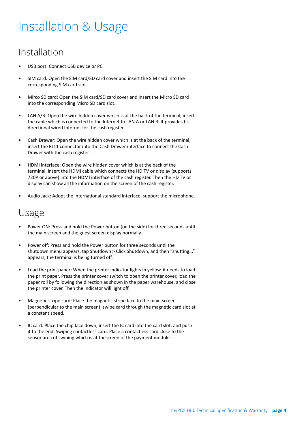## <span id="page-4-0"></span>Installation & Usage

#### Installation

- USB port: Connect USB device or PC
- SIM card: Open the SIM card/SD card cover and insert the SIM card into the corresponding SIM card slot.
- Mirco SD card: Open the SIM card/SD card cover and insert the Micro SD card into the corresponding Micro SD card slot.
- LAN A/B: Open the wire hidden cover which is at the back of the terminal, insert the cable which is connected to the Internet to LAN A or LAN B. It provides bidirectional wired Internet for the cash register.
- Cash Drawer: Open the wire hidden cover which is at the back of the terminal, insert the RJ11 connector into the Cash Drawer interface to connect the Cash Drawer with the cash register.
- HDMI interface: Open the wire hidden cover which is at the back of the terminal, insert the HDMI cable which connects the HD TV or display (supports 720P or above) into the HDMI interface of the cash register. Then the HD TV or display can show all the information on the screen of the cash register.
- Audio Jack: Adopt the international standard interface, support the microphone.

#### Usage

- Power ON: Press and hold the Power button (on the side) for three seconds until the main screen and the guest screen display normally.
- Power off: Press and hold the Power button for three seconds until the shutdown menu appears, tap Shutdown > Click Shutdown, and then "shutting..." appears, the terminal is being turned off.
- Load the print paper: When the printer indicator lights in yellow, it needs to load the print paper. Press the printer cover switch to open the printer cover, load the paper roll by following the direction as shown in the paper warehouse, and close the printer cover. Then the indicator will light off.
- Magnetic stripe card: Place the magnetic stripe face to the main screen (perpendicular to the main screen), swipe card through the magnetic card slot at a constant speed.
- IC card: Place the chip face down, insert the IC card into the card slot, and push it to the end. Swiping contactless card: Place a contactless card close to the sensor area of swiping which is at thescreen of the payment module.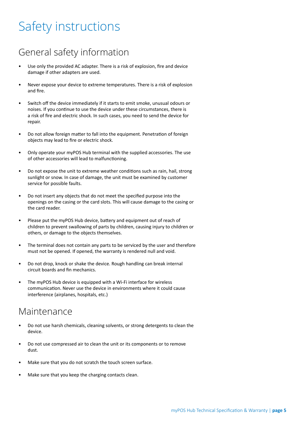# <span id="page-5-0"></span>Safety instructions

#### General safety information

- Use only the provided AC adapter. There is a risk of explosion, fire and device damage if other adapters are used.
- Never expose your device to extreme temperatures. There is a risk of explosion and fire.
- Switch off the device immediately if it starts to emit smoke, unusual odours or noises. If you continue to use the device under these circumstances, there is a risk of fire and electric shock. In such cases, you need to send the device for repair.
- Do not allow foreign matter to fall into the equipment. Penetration of foreign objects may lead to fire or electric shock.
- Only operate your myPOS Hub terminal with the supplied accessories. The use of other accessories will lead to malfunctioning.
- Do not expose the unit to extreme weather conditions such as rain, hail, strong sunlight or snow. In case of damage, the unit must be examined by customer service for possible faults.
- Do not insert any objects that do not meet the specified purpose into the openings on the casing or the card slots. This will cause damage to the casing or the card reader.
- Please put the myPOS Hub device, battery and equipment out of reach of children to prevent swallowing of parts by children, causing injury to children or others, or damage to the objects themselves.
- The terminal does not contain any parts to be serviced by the user and therefore must not be opened. If opened, the warranty is rendered null and void.
- Do not drop, knock or shake the device. Rough handling can break internal circuit boards and fin mechanics.
- The myPOS Hub device is equipped with a Wi-Fi interface for wireless communication. Never use the device in environments where it could cause interference (airplanes, hospitals, etc.)

#### Maintenance

- Do not use harsh chemicals, cleaning solvents, or strong detergents to clean the device.
- Do not use compressed air to clean the unit or its components or to remove dust.
- Make sure that you do not scratch the touch screen surface.
- Make sure that you keep the charging contacts clean.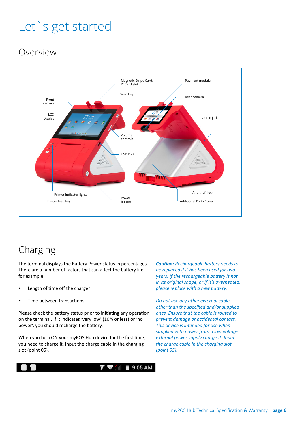# <span id="page-6-0"></span>Let`s get started

## Overview



## Charging

The terminal displays the Battery Power status in percentages. There are a number of factors that can affect the battery life, for example:

- Length of time off the charger
- Time between transactions

Please check the battery status prior to initiating any operation on the terminal. If it indicates 'very low' (10% or less) or 'no power', you should recharge the battery.

When you turn ON your myPOS Hub device for the first time, you need to charge it. Input the charge cable in the charging slot (point 05).



*Caution: Rechargeable battery needs to be replaced if it has been used for two years. If the rechargeable battery is not in its original shape, or if it's overheated, please replace with a new battery.*

*Do not use any other external cables other than the specified and/or supplied ones. Ensure that the cable is routed to prevent damage or accidental contact. This device is intended for use when supplied with power from a low voltage external power supply.charge it. Input the charge cable in the charging slot (point 05).*